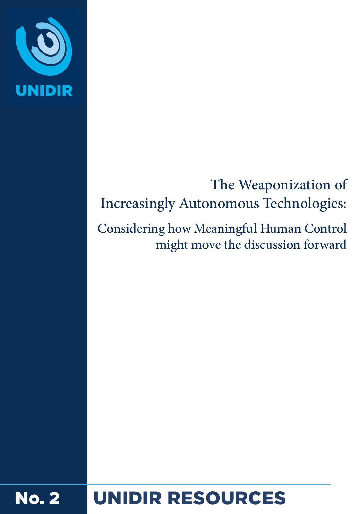

# The Weaponization of Increasingly Autonomous Technologies:

Considering how Meaningful Human Control might move the discussion forward

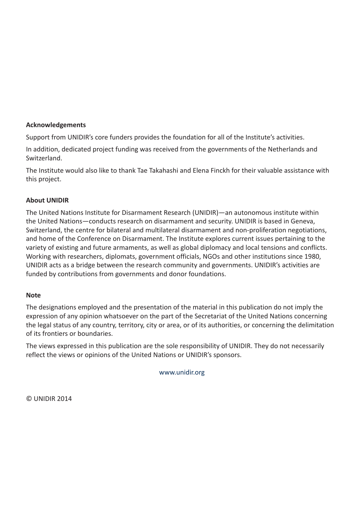#### **Acknowledgements**

Support from UNIDIR's core funders provides the foundation for all of the Institute's activities.

In addition, dedicated project funding was received from the governments of the Netherlands and Switzerland.

The Institute would also like to thank Tae Takahashi and Elena Finckh for their valuable assistance with this project.

#### **About UNIDIR**

The United Nations Institute for Disarmament Research (UNIDIR)—an autonomous institute within the United Nations—conducts research on disarmament and security. UNIDIR is based in Geneva, Switzerland, the centre for bilateral and multilateral disarmament and non-proliferation negotiations, and home of the Conference on Disarmament. The Institute explores current issues pertaining to the variety of existing and future armaments, as well as global diplomacy and local tensions and conflicts. Working with researchers, diplomats, government officials, NGOs and other institutions since 1980, UNIDIR acts as a bridge between the research community and governments. UNIDIR's activities are funded by contributions from governments and donor foundations.

#### **Note**

The designations employed and the presentation of the material in this publication do not imply the expression of any opinion whatsoever on the part of the Secretariat of the United Nations concerning the legal status of any country, territory, city or area, or of its authorities, or concerning the delimitation of its frontiers or boundaries.

The views expressed in this publication are the sole responsibility of UNIDIR. They do not necessarily reflect the views or opinions of the United Nations or UNIDIR's sponsors.

[www.unidir.org](http://WWW.UNIDIR.ORG)

© UNIDIR 2014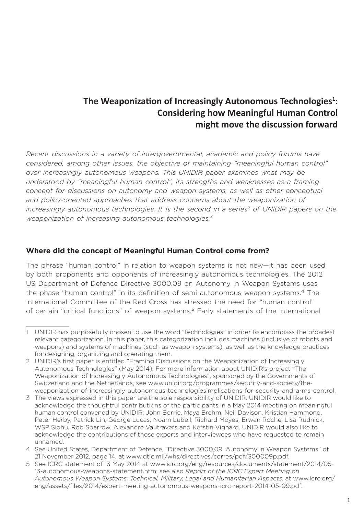# **The Weaponization of Increasingly Autonomous Technologies<sup>1</sup> : Considering how Meaningful Human Control might move the discussion forward**

*Recent discussions in a variety of intergovernmental, academic and policy forums have considered, among other issues, the objective of maintaining "meaningful human control" over increasingly autonomous weapons. This UNIDIR paper examines what may be understood by "meaningful human control", its strengths and weaknesses as a framing concept for discussions on autonomy and weapon systems, as well as other conceptual*  and policy-oriented approaches that address concerns about the weaponization of *increasingly autonomous technologies. It is the second in a series<sup>2</sup> of UNIDIR papers on the weaponization of increasing autonomous technologies.3*

#### **Where did the concept of Meaningful Human Control come from?**

The phrase "human control" in relation to weapon systems is not new—it has been used by both proponents and opponents of increasingly autonomous technologies. The 2012 US Department of Defence Directive 3000.09 on Autonomy in Weapon Systems uses the phase "human control" in its definition of semi-autonomous weapon systems.<sup>4</sup> The International Committee of the Red Cross has stressed the need for "human control" of certain "critical functions" of weapon systems.<sup>5</sup> Early statements of the International

<sup>1</sup> UNIDIR has purposefully chosen to use the word "technologies" in order to encompass the broadest relevant categorization. In this paper, this categorization includes machines (inclusive of robots and weapons) and systems of machines (such as weapon systems), as well as the knowledge practices for designing, organizing and operating them.

<sup>2</sup> UNIDIR's first paper is entitled "Framing Discussions on the Weaponization of Increasingly Autonomous Technologies" (May 2014). For more information about UNIDIR's project "The Weaponization of Increasingly Autonomous Technologies", sponsored by the Governments of Switzerland and the Netherlands, see www.unidir.org/programmes/security-and-society/theweaponization-of-increasingly-autonomous-technologiesimplications-for-security-and-arms-control.

<sup>3</sup> The views expressed in this paper are the sole responsibility of UNIDIR. UNIDIR would like to acknowledge the thoughtful contributions of the participants in a May 2014 meeting on meaningful human control convened by UNIDIR: John Borrie, Maya Brehm, Neil Davison, Kristian Hammond, Peter Herby, Patrick Lin, George Lucas, Noam Lubell, Richard Moyes, Erwan Roche, Lisa Rudnick, WSP Sidhu, Rob Sparrow, Alexandre Vautravers and Kerstin Vignard. UNIDIR would also like to acknowledge the contributions of those experts and interviewees who have requested to remain unnamed.

<sup>4</sup> See United States, Department of Defence, "Directive 3000.09. Autonomy in Weapon Systems" of 21 November 2012, page 14, at www.dtic.mil/whs/directives/corres/pdf/300009p.pdf.

<sup>5</sup> See ICRC statement of 13 May 2014 at www.icrc.org/eng/resources/documents/statement/2014/05- 13-autonomous-weapons-statement.htm; see also *Report of the ICRC Expert Meeting on Autonomous Weapon Systems: Technical, Military, Legal and Humanitarian Aspects*, at www.icrc.org/ eng/assets/files/2014/expert-meeting-autonomous-weapons-icrc-report-2014-05-09.pdf.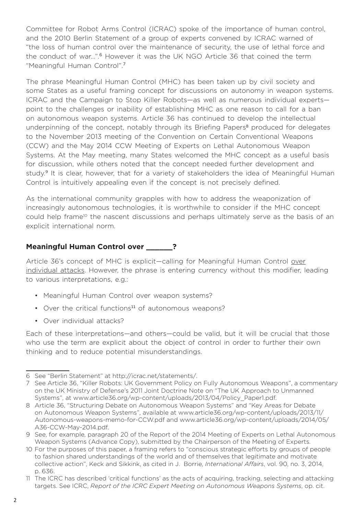Committee for Robot Arms Control (ICRAC) spoke of the importance of human control, and the 2010 Berlin Statement of a group of experts convened by ICRAC warned of "the loss of human control over the maintenance of security, the use of lethal force and the conduct of war…".<sup>6</sup> However it was the UK NGO Article 36 that coined the term "Meaningful Human Control".<sup>7</sup>

The phrase Meaningful Human Control (MHC) has been taken up by civil society and some States as a useful framing concept for discussions on autonomy in weapon systems. ICRAC and the Campaign to Stop Killer Robots—as well as numerous individual experts point to the challenges or inability of establishing MHC as one reason to call for a ban on autonomous weapon systems. Article 36 has continued to develop the intellectual underpinning of the concept, notably through its Briefing Papers<sup>8</sup> produced for delegates to the November 2013 meeting of the Convention on Certain Conventional Weapons (CCW) and the May 2014 CCW Meeting of Experts on Lethal Autonomous Weapon Systems. At the May meeting, many States welcomed the MHC concept as a useful basis for discussion, while others noted that the concept needed further development and study.<sup>9</sup> It is clear, however, that for a variety of stakeholders the idea of Meaningful Human Control is intuitively appealing even if the concept is not precisely defined.

As the international community grapples with how to address the weaponization of increasingly autonomous technologies, it is worthwhile to consider if the MHC concept could help frame<sup>10</sup> the nascent discussions and perhaps ultimately serve as the basis of an explicit international norm.

## **Meaningful Human Control over \_\_\_\_\_\_?**

Article 36's concept of MHC is explicit-calling for Meaningful Human Control over individual attacks. However, the phrase is entering currency without this modifier, leading to various interpretations, e.g.:

- Meaningful Human Control over weapon systems?
- Over the critical functions<sup>11</sup> of autonomous weapons?
- Over individual attacks?

Each of these interpretations—and others—could be valid, but it will be crucial that those who use the term are explicit about the object of control in order to further their own thinking and to reduce potential misunderstandings.

<sup>6</sup> See "Berlin Statement" at http://icrac.net/statements/.

<sup>7</sup> See Article 36, "Killer Robots: UK Government Policy on Fully Autonomous Weapons", a commentary on the UK Ministry of Defense's 2011 Joint Doctrine Note on "The UK Approach to Unmanned Systems", at www.article36.org/wp-content/uploads/2013/04/Policy\_Paper1.pdf.

<sup>8</sup> Article 36, "Structuring Debate on Autonomous Weapon Systems" and "Key Areas for Debate on Autonomous Weapon Systems", available at www.article36.org/wp-content/uploads/2013/11/ Autonomous-weapons-memo-for-CCW.pdf and www.article36.org/wp-content/uploads/2014/05/ A36-CCW-May-2014.pdf.

<sup>9</sup> See, for example, paragraph 20 of the Report of the 2014 Meeting of Experts on Lethal Autonomous Weapon Systems (Advance Copy), submitted by the Chairperson of the Meeting of Experts.

<sup>10</sup> For the purposes of this paper, a framing refers to "conscious strategic efforts by groups of people to fashion shared understandings of the world and of themselves that legitimate and motivate collective action", Keck and Sikkink, as cited in J. Borrie, *International Affairs*, vol. 90, no. 3, 2014, p. 636.

<sup>11</sup> The ICRC has described 'critical functions' as the acts of acquiring, tracking, selecting and attacking targets. See ICRC, *Report of the ICRC Expert Meeting on Autonomous Weapons Systems*, op. cit.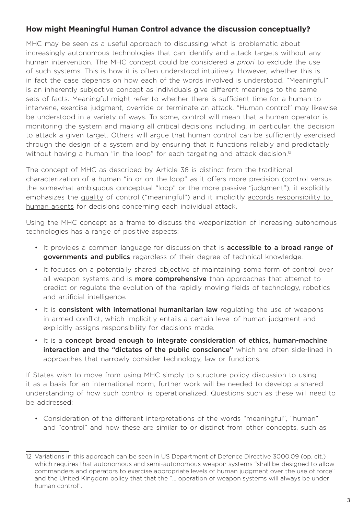#### **How might Meaningful Human Control advance the discussion conceptually?**

MHC may be seen as a useful approach to discussing what is problematic about increasingly autonomous technologies that can identify and attack targets without any human intervention. The MHC concept could be considered *a priori* to exclude the use of such systems. This is how it is often understood intuitively. However, whether this is in fact the case depends on how each of the words involved is understood. "Meaningful" is an inherently subjective concept as individuals give different meanings to the same sets of facts. Meaningful might refer to whether there is sufficient time for a human to intervene, exercise judgment, override or terminate an attack. "Human control" may likewise be understood in a variety of ways. To some, control will mean that a human operator is monitoring the system and making all critical decisions including, in particular, the decision to attack a given target. Others will argue that human control can be sufficiently exercised through the design of a system and by ensuring that it functions reliably and predictably without having a human "in the loop" for each targeting and attack decision.<sup>12</sup>

The concept of MHC as described by Article 36 is distinct from the traditional characterization of a human "in or on the loop" as it offers more precision (control versus the somewhat ambiguous conceptual "loop" or the more passive "judgment"), it explicitly emphasizes the quality of control ("meaningful") and it implicitly accords responsibility to human agents for decisions concerning each individual attack.

Using the MHC concept as a frame to discuss the weaponization of increasing autonomous technologies has a range of positive aspects:

- It provides a common language for discussion that is **accessible to a broad range of** governments and publics regardless of their degree of technical knowledge.
- It focuses on a potentially shared objective of maintaining some form of control over all weapon systems and is **more comprehensive** than approaches that attempt to predict or regulate the evolution of the rapidly moving fields of technology, robotics and artificial intelligence.
- It is consistent with international humanitarian law regulating the use of weapons in armed conflict, which implicitly entails a certain level of human judgment and explicitly assigns responsibility for decisions made.
- $\cdot$  It is a concept broad enough to integrate consideration of ethics, human-machine interaction and the "dictates of the public conscience" which are often side-lined in approaches that narrowly consider technology, law or functions.

If States wish to move from using MHC simply to structure policy discussion to using it as a basis for an international norm, further work will be needed to develop a shared understanding of how such control is operationalized. Questions such as these will need to be addressed:

• Consideration of the different interpretations of the words "meaningful", "human" and "control" and how these are similar to or distinct from other concepts, such as

<sup>12</sup> Variations in this approach can be seen in US Department of Defence Directive 3000.09 (op. cit.) which requires that autonomous and semi-autonomous weapon systems "shall be designed to allow commanders and operators to exercise appropriate levels of human judgment over the use of force" and the United Kingdom policy that that the "... operation of weapon systems will always be under human control".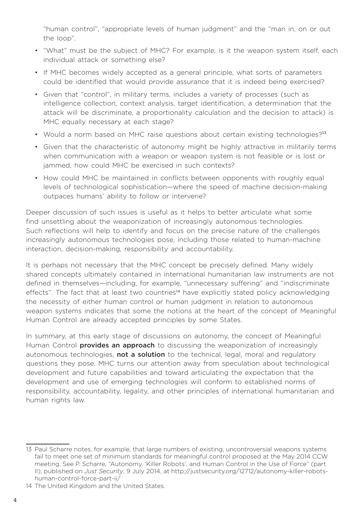"human control", "appropriate levels of human judgment" and the "man in, on or out the loop".

- "What" must be the subject of MHC? For example, is it the weapon system itself, each individual attack or something else?
- If MHC becomes widely accepted as a general principle, what sorts of parameters could be identified that would provide assurance that it is indeed being exercised?
- • Given that "control", in military terms, includes a variety of processes (such as intelligence collection, context analysis, target identification, a determination that the attack will be discriminate, a proportionality calculation and the decision to attack) is MHC equally necessary at each stage?
- Would a norm based on MHC raise questions about certain existing technologies?<sup>13</sup>
- • Given that the characteristic of autonomy might be highly attractive in militarily terms when communication with a weapon or weapon system is not feasible or is lost or jammed, how could MHC be exercised in such contexts?
- How could MHC be maintained in conflicts between opponents with roughly equal levels of technological sophistication—where the speed of machine decision-making outpaces humans' ability to follow or intervene?

Deeper discussion of such issues is useful as it helps to better articulate what some find unsettling about the weaponization of increasingly autonomous technologies. Such reflections will help to identify and focus on the precise nature of the challenges increasingly autonomous technologies pose, including those related to human-machine interaction, decision-making, responsibility and accountability.

It is perhaps not necessary that the MHC concept be precisely defined. Many widely shared concepts ultimately contained in international humanitarian law instruments are not defined in themselves—including, for example, "unnecessary suffering" and "indiscriminate effects". The fact that at least two countries<sup>14</sup> have explicitly stated policy acknowledging the necessity of either human control or human judgment in relation to autonomous weapon systems indicates that some the notions at the heart of the concept of Meaningful Human Control are already accepted principles by some States.

In summary, at this early stage of discussions on autonomy, the concept of Meaningful Human Control **provides an approach** to discussing the weaponization of increasingly autonomous technologies, not a solution to the technical, legal, moral and regulatory questions they pose. MHC turns our attention away from speculation about technological development and future capabilities and toward articulating the expectation that the development and use of emerging technologies will conform to established norms of responsibility, accountability, legality, and other principles of international humanitarian and human rights law.

<sup>13</sup> Paul Scharre notes, for example, that large numbers of existing, uncontroversial weapons systems fail to meet one set of minimum standards for meaningful control proposed at the May 2014 CCW meeting. See P. Scharre, "Autonomy, 'Killer Robots', and Human Control in the Use of Force" (part II), published on *Just Security*, 9 July 2014, at http://justsecurity.org/12712/autonomy-killer-robotshuman-control-force-part-ii/

<sup>14</sup> The United Kingdom and the United States.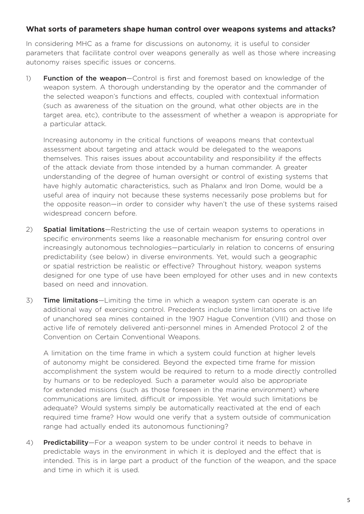#### **What sorts of parameters shape human control over weapons systems and attacks?**

In considering MHC as a frame for discussions on autonomy, it is useful to consider parameters that facilitate control over weapons generally as well as those where increasing autonomy raises specific issues or concerns.

1) Function of the weapon–Control is first and foremost based on knowledge of the weapon system. A thorough understanding by the operator and the commander of the selected weapon's functions and effects, coupled with contextual information (such as awareness of the situation on the ground, what other objects are in the target area, etc), contribute to the assessment of whether a weapon is appropriate for a particular attack.

Increasing autonomy in the critical functions of weapons means that contextual assessment about targeting and attack would be delegated to the weapons themselves. This raises issues about accountability and responsibility if the effects of the attack deviate from those intended by a human commander. A greater understanding of the degree of human oversight or control of existing systems that have highly automatic characteristics, such as Phalanx and Iron Dome, would be a useful area of inquiry not because these systems necessarily pose problems but for the opposite reason—in order to consider why haven't the use of these systems raised widespread concern before.

- 2) **Spatial limitations**—Restricting the use of certain weapon systems to operations in specific environments seems like a reasonable mechanism for ensuring control over increasingly autonomous technologies—particularly in relation to concerns of ensuring predictability (see below) in diverse environments. Yet, would such a geographic or spatial restriction be realistic or effective? Throughout history, weapon systems designed for one type of use have been employed for other uses and in new contexts based on need and innovation.
- 3) **Time limitations**—Limiting the time in which a weapon system can operate is an additional way of exercising control. Precedents include time limitations on active life of unanchored sea mines contained in the 1907 Hague Convention (VIII) and those on active life of remotely delivered anti-personnel mines in Amended Protocol 2 of the Convention on Certain Conventional Weapons.

A limitation on the time frame in which a system could function at higher levels of autonomy might be considered. Beyond the expected time frame for mission accomplishment the system would be required to return to a mode directly controlled by humans or to be redeployed. Such a parameter would also be appropriate for extended missions (such as those foreseen in the marine environment) where communications are limited, difficult or impossible. Yet would such limitations be adequate? Would systems simply be automatically reactivated at the end of each required time frame? How would one verify that a system outside of communication range had actually ended its autonomous functioning?

4) Predictability-For a weapon system to be under control it needs to behave in predictable ways in the environment in which it is deployed and the effect that is intended. This is in large part a product of the function of the weapon, and the space and time in which it is used.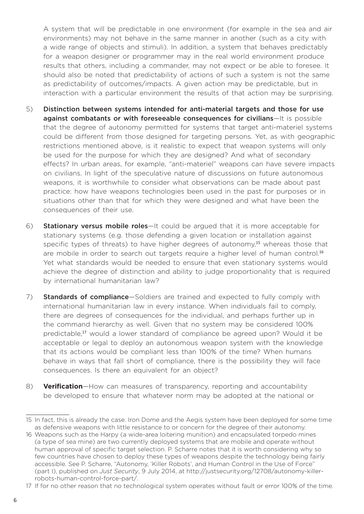A system that will be predictable in one environment (for example in the sea and air environments) may not behave in the same manner in another (such as a city with a wide range of objects and stimuli). In addition, a system that behaves predictably for a weapon designer or programmer may in the real world environment produce results that others, including a commander, may not expect or be able to foresee. It should also be noted that predictability of actions of such a system is not the same as predictability of outcomes/impacts. A given action may be predictable, but in interaction with a particular environment the results of that action may be surprising.

- 5) Distinction between systems intended for anti-material targets and those for use against combatants or with foreseeable consequences for civilians-It is possible that the degree of autonomy permitted for systems that target anti-materiel systems could be different from those designed for targeting persons. Yet, as with geographic restrictions mentioned above, is it realistic to expect that weapon systems will only be used for the purpose for which they are designed? And what of secondary effects? In urban areas, for example, "anti-materiel" weapons can have severe impacts on civilians. In light of the speculative nature of discussions on future autonomous weapons, it is worthwhile to consider what observations can be made about past practice: how have weapons technologies been used in the past for purposes or in situations other than that for which they were designed and what have been the consequences of their use.
- 6) Stationary versus mobile roles—It could be argued that it is more acceptable for stationary systems (e.g. those defending a given location or installation against specific types of threats) to have higher degrees of autonomy.<sup>15</sup> whereas those that are mobile in order to search out targets require a higher level of human control.<sup>16</sup> Yet what standards would be needed to ensure that even stationary systems would achieve the degree of distinction and ability to judge proportionality that is required by international humanitarian law?
- 7) **Standards of compliance**—Soldiers are trained and expected to fully comply with international humanitarian law in every instance. When individuals fail to comply, there are degrees of consequences for the individual, and perhaps further up in the command hierarchy as well. Given that no system may be considered 100% predictable,<sup>17</sup> would a lower standard of compliance be agreed upon? Would it be acceptable or legal to deploy an autonomous weapon system with the knowledge that its actions would be compliant less than 100% of the time? When humans behave in ways that fall short of compliance, there is the possibility they will face consequences. Is there an equivalent for an object?
- 8) **Verification**—How can measures of transparency, reporting and accountability be developed to ensure that whatever norm may be adopted at the national or

<sup>15</sup> In fact, this is already the case. Iron Dome and the Aegis system have been deployed for some time as defensive weapons with little resistance to or concern for the degree of their autonomy.

<sup>16</sup> Weapons such as the Harpy (a wide-area loitering munition) and encapsulated torpedo mines (a type of sea mine) are two currently deployed systems that are mobile and operate without human approval of specific target selection. P. Scharre notes that it is worth considering why so few countries have chosen to deploy these types of weapons despite the technology being fairly accessible. See P. Scharre, "Autonomy, 'Killer Robots', and Human Control in the Use of Force" (part I), published on *Just Security*, 9 July 2014, at http://justsecurity.org/12708/autonomy-killerrobots-human-control-force-part/.

<sup>17</sup> If for no other reason that no technological system operates without fault or error 100% of the time.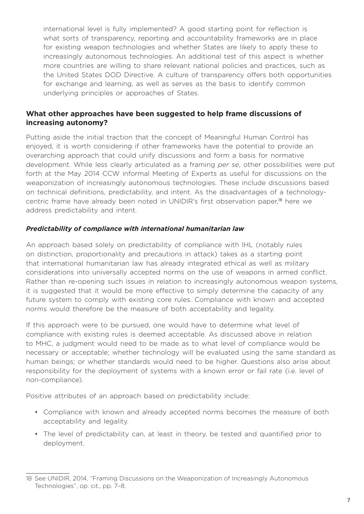international level is fully implemented? A good starting point for reflection is what sorts of transparency, reporting and accountability frameworks are in place for existing weapon technologies and whether States are likely to apply these to increasingly autonomous technologies. An additional test of this aspect is whether more countries are willing to share relevant national policies and practices, such as the United States DOD Directive. A culture of transparency offers both opportunities for exchange and learning, as well as serves as the basis to identify common underlying principles or approaches of States.

#### **What other approaches have been suggested to help frame discussions of increasing autonomy?**

Putting aside the initial traction that the concept of Meaningful Human Control has enjoyed, it is worth considering if other frameworks have the potential to provide an overarching approach that could unify discussions and form a basis for normative development. While less clearly articulated as a framing *per se*, other possibilities were put forth at the May 2014 CCW informal Meeting of Experts as useful for discussions on the weaponization of increasingly autonomous technologies. These include discussions based on technical definitions, predictability, and intent. As the disadvantages of a technologycentric frame have already been noted in UNIDIR's first observation paper,18 here we address predictability and intent.

#### *Predictability of compliance with international humanitarian law*

An approach based solely on predictability of compliance with IHL (notably rules on distinction, proportionality and precautions in attack) takes as a starting point that international humanitarian law has already integrated ethical as well as military considerations into universally accepted norms on the use of weapons in armed conflict. Rather than re-opening such issues in relation to increasingly autonomous weapon systems, it is suggested that it would be more effective to simply determine the capacity of any future system to comply with existing core rules. Compliance with known and accepted norms would therefore be the measure of both acceptability and legality.

If this approach were to be pursued, one would have to determine what level of compliance with existing rules is deemed acceptable. As discussed above in relation to MHC, a judgment would need to be made as to what level of compliance would be necessary or acceptable; whether technology will be evaluated using the same standard as human beings; or whether standards would need to be higher. Questions also arise about responsibility for the deployment of systems with a known error or fail rate (i.e. level of non-compliance).

Positive attributes of an approach based on predictability include:

- • Compliance with known and already accepted norms becomes the measure of both acceptability and legality.
- The level of predictability can, at least in theory, be tested and quantified prior to deployment.

<sup>18</sup> See UNIDIR, 2014, "Framing Discussions on the Weaponization of Increasingly Autonomous Technologies", op. cit., pp. 7–8.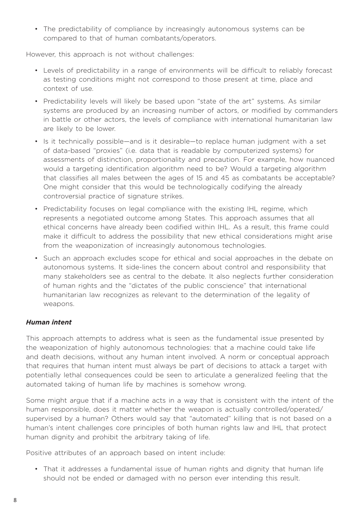• The predictability of compliance by increasingly autonomous systems can be compared to that of human combatants/operators.

However, this approach is not without challenges:

- • Levels of predictability in a range of environments will be difficult to reliably forecast as testing conditions might not correspond to those present at time, place and context of use.
- Predictability levels will likely be based upon "state of the art" systems. As similar systems are produced by an increasing number of actors, or modified by commanders in battle or other actors, the levels of compliance with international humanitarian law are likely to be lower.
- Is it technically possible—and is it desirable—to replace human judgment with a set of data-based "proxies" (i.e. data that is readable by computerized systems) for assessments of distinction, proportionality and precaution. For example, how nuanced would a targeting identification algorithm need to be? Would a targeting algorithm that classifies all males between the ages of 15 and 45 as combatants be acceptable? One might consider that this would be technologically codifying the already controversial practice of signature strikes.
- Predictability focuses on legal compliance with the existing IHL regime, which represents a negotiated outcome among States. This approach assumes that all ethical concerns have already been codified within IHL. As a result, this frame could make it difficult to address the possibility that new ethical considerations might arise from the weaponization of increasingly autonomous technologies.
- Such an approach excludes scope for ethical and social approaches in the debate on autonomous systems. It side-lines the concern about control and responsibility that many stakeholders see as central to the debate. It also neglects further consideration of human rights and the "dictates of the public conscience" that international humanitarian law recognizes as relevant to the determination of the legality of weapons.

#### *Human intent*

This approach attempts to address what is seen as the fundamental issue presented by the weaponization of highly autonomous technologies: that a machine could take life and death decisions, without any human intent involved. A norm or conceptual approach that requires that human intent must always be part of decisions to attack a target with potentially lethal consequences could be seen to articulate a generalized feeling that the automated taking of human life by machines is somehow wrong.

Some might argue that if a machine acts in a way that is consistent with the intent of the human responsible, does it matter whether the weapon is actually controlled/operated/ supervised by a human? Others would say that "automated" killing that is not based on a human's intent challenges core principles of both human rights law and IHL that protect human dignity and prohibit the arbitrary taking of life.

Positive attributes of an approach based on intent include:

• That it addresses a fundamental issue of human rights and dignity that human life should not be ended or damaged with no person ever intending this result.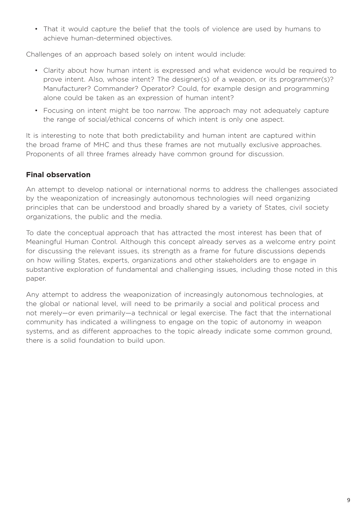• That it would capture the belief that the tools of violence are used by humans to achieve human-determined objectives.

Challenges of an approach based solely on intent would include:

- • Clarity about how human intent is expressed and what evidence would be required to prove intent. Also, whose intent? The designer(s) of a weapon, or its programmer(s)? Manufacturer? Commander? Operator? Could, for example design and programming alone could be taken as an expression of human intent?
- Focusing on intent might be too narrow. The approach may not adequately capture the range of social/ethical concerns of which intent is only one aspect.

It is interesting to note that both predictability and human intent are captured within the broad frame of MHC and thus these frames are not mutually exclusive approaches. Proponents of all three frames already have common ground for discussion.

#### **Final observation**

An attempt to develop national or international norms to address the challenges associated by the weaponization of increasingly autonomous technologies will need organizing principles that can be understood and broadly shared by a variety of States, civil society organizations, the public and the media.

To date the conceptual approach that has attracted the most interest has been that of Meaningful Human Control. Although this concept already serves as a welcome entry point for discussing the relevant issues, its strength as a frame for future discussions depends on how willing States, experts, organizations and other stakeholders are to engage in substantive exploration of fundamental and challenging issues, including those noted in this paper.

Any attempt to address the weaponization of increasingly autonomous technologies, at the global or national level, will need to be primarily a social and political process and not merely—or even primarily—a technical or legal exercise. The fact that the international community has indicated a willingness to engage on the topic of autonomy in weapon systems, and as different approaches to the topic already indicate some common ground, there is a solid foundation to build upon.